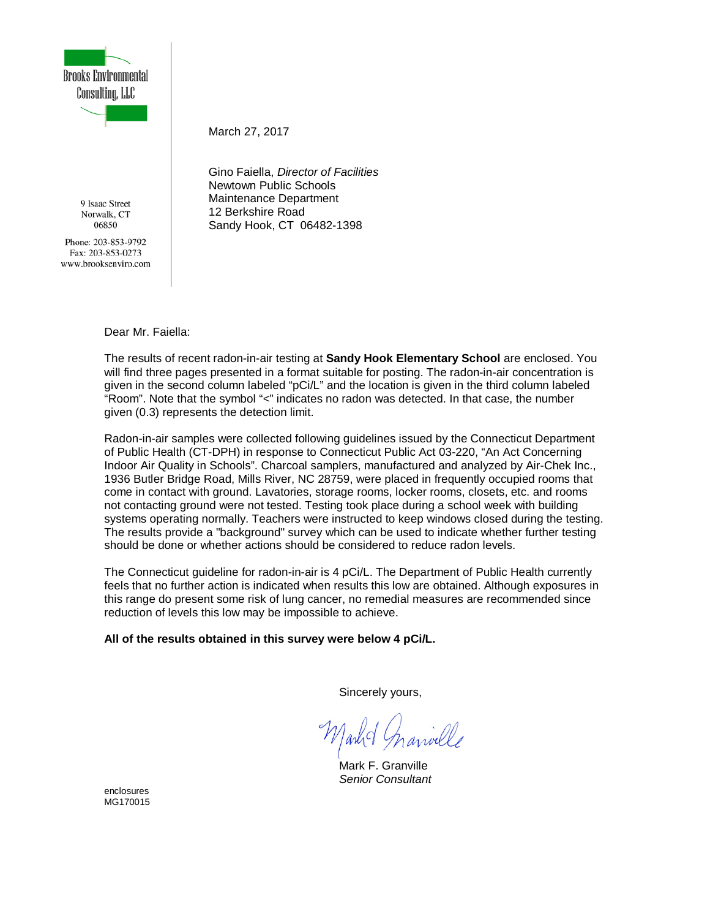

9 Isaac Street Norwalk, CT 06850

Phone: 203-853-9792 Fax: 203-853-0273 www.brooksenviro.com March 27, 2017

Gino Faiella, *Director of Facilities* Newtown Public Schools Maintenance Department 12 Berkshire Road Sandy Hook, CT 06482-1398

Dear Mr. Faiella:

The results of recent radon-in-air testing at **Sandy Hook Elementary School** are enclosed. You will find three pages presented in a format suitable for posting. The radon-in-air concentration is given in the second column labeled "pCi/L" and the location is given in the third column labeled "Room". Note that the symbol "<" indicates no radon was detected. In that case, the number given (0.3) represents the detection limit.

Radon-in-air samples were collected following guidelines issued by the Connecticut Department of Public Health (CT-DPH) in response to Connecticut Public Act 03-220, "An Act Concerning Indoor Air Quality in Schools". Charcoal samplers, manufactured and analyzed by Air-Chek Inc., 1936 Butler Bridge Road, Mills River, NC 28759, were placed in frequently occupied rooms that come in contact with ground. Lavatories, storage rooms, locker rooms, closets, etc. and rooms not contacting ground were not tested. Testing took place during a school week with building systems operating normally. Teachers were instructed to keep windows closed during the testing. The results provide a "background" survey which can be used to indicate whether further testing should be done or whether actions should be considered to reduce radon levels.

The Connecticut guideline for radon-in-air is 4 pCi/L. The Department of Public Health currently feels that no further action is indicated when results this low are obtained. Although exposures in this range do present some risk of lung cancer, no remedial measures are recommended since reduction of levels this low may be impossible to achieve.

**All of the results obtained in this survey were below 4 pCi/L.**

Sincerely yours,

Mark F. Granville *Senior Consultant*

enclosures MG170015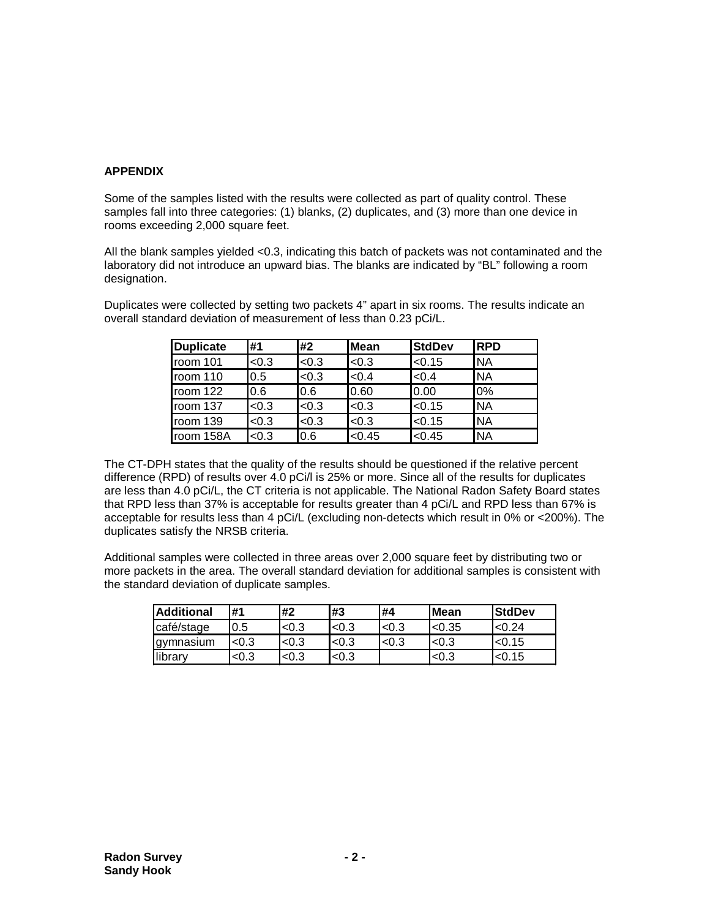#### **APPENDIX**

Some of the samples listed with the results were collected as part of quality control. These samples fall into three categories: (1) blanks, (2) duplicates, and (3) more than one device in rooms exceeding 2,000 square feet.

All the blank samples yielded <0.3, indicating this batch of packets was not contaminated and the laboratory did not introduce an upward bias. The blanks are indicated by "BL" following a room designation.

Duplicates were collected by setting two packets 4" apart in six rooms. The results indicate an overall standard deviation of measurement of less than 0.23 pCi/L.

| <b>Duplicate</b> | #1    | #2    | <b>Mean</b> | <b>StdDev</b> | <b>IRPD</b> |
|------------------|-------|-------|-------------|---------------|-------------|
| room 101         | < 0.3 | < 0.3 | < 0.3       | < 0.15        | <b>NA</b>   |
| room 110         | 0.5   | < 0.3 | < 0.4       | < 0.4         | <b>NA</b>   |
| room 122         | 0.6   | 0.6   | 0.60        | 0.00          | 0%          |
| room 137         | < 0.3 | < 0.3 | < 0.3       | < 0.15        | <b>NA</b>   |
| room 139         | < 0.3 | < 0.3 | < 0.3       | < 0.15        | <b>NA</b>   |
| room 158A        | < 0.3 | 0.6   | < 0.45      | < 0.45        | <b>NA</b>   |

The CT-DPH states that the quality of the results should be questioned if the relative percent difference (RPD) of results over 4.0 pCi/l is 25% or more. Since all of the results for duplicates are less than 4.0 pCi/L, the CT criteria is not applicable. The National Radon Safety Board states that RPD less than 37% is acceptable for results greater than 4 pCi/L and RPD less than 67% is acceptable for results less than 4 pCi/L (excluding non-detects which result in 0% or <200%). The duplicates satisfy the NRSB criteria.

Additional samples were collected in three areas over 2,000 square feet by distributing two or more packets in the area. The overall standard deviation for additional samples is consistent with the standard deviation of duplicate samples.

| <b>Additional</b> | #1    | #2       | #3    | #4    | <b>Mean</b> | <b>StdDev</b> |
|-------------------|-------|----------|-------|-------|-------------|---------------|
| café/stage        | 0.5   | < 0.3    | < 0.3 | < 0.3 | < 0.35      | < 0.24        |
| gymnasium         | < 0.3 | ${<}0.3$ | < 0.3 | < 0.3 | < 0.3       | < 0.15        |
| library           | <0.3  | < 0.3    | < 0.3 |       | < 0.3       | <0.15         |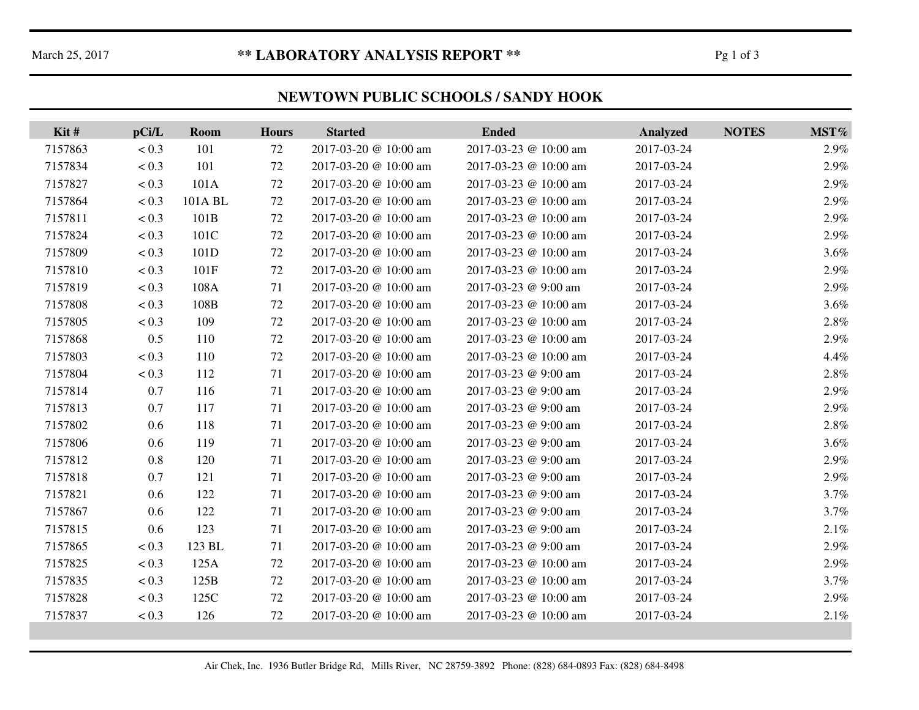# March 25, 2017 **\*\* LABORATORY ANALYSIS REPORT \*\*** Pg 1 of 3

### **NEWTOWN PUBLIC SCHOOLS / SANDY HOOK**

| Kit#    | pCi/L   | Room    | <b>Hours</b> | <b>Started</b>        | <b>Ended</b>          | <b>Analyzed</b> | <b>NOTES</b> | MST%    |
|---------|---------|---------|--------------|-----------------------|-----------------------|-----------------|--------------|---------|
| 7157863 | < 0.3   | 101     | 72           | 2017-03-20 @ 10:00 am | 2017-03-23 @ 10:00 am | 2017-03-24      |              | 2.9%    |
| 7157834 | < 0.3   | 101     | 72           | 2017-03-20 @ 10:00 am | 2017-03-23 @ 10:00 am | 2017-03-24      |              | 2.9%    |
| 7157827 | < 0.3   | 101A    | 72           | 2017-03-20 @ 10:00 am | 2017-03-23 @ 10:00 am | 2017-03-24      |              | 2.9%    |
| 7157864 | < 0.3   | 101A BL | 72           | 2017-03-20 @ 10:00 am | 2017-03-23 @ 10:00 am | 2017-03-24      |              | 2.9%    |
| 7157811 | < 0.3   | 101B    | 72           | 2017-03-20 @ 10:00 am | 2017-03-23 @ 10:00 am | 2017-03-24      |              | 2.9%    |
| 7157824 | $< 0.3$ | 101C    | 72           | 2017-03-20 @ 10:00 am | 2017-03-23 @ 10:00 am | 2017-03-24      |              | 2.9%    |
| 7157809 | < 0.3   | 101D    | 72           | 2017-03-20 @ 10:00 am | 2017-03-23 @ 10:00 am | 2017-03-24      |              | $3.6\%$ |
| 7157810 | < 0.3   | 101F    | 72           | 2017-03-20 @ 10:00 am | 2017-03-23 @ 10:00 am | 2017-03-24      |              | 2.9%    |
| 7157819 | < 0.3   | 108A    | 71           | 2017-03-20 @ 10:00 am | 2017-03-23 @ 9:00 am  | 2017-03-24      |              | 2.9%    |
| 7157808 | < 0.3   | 108B    | 72           | 2017-03-20 @ 10:00 am | 2017-03-23 @ 10:00 am | 2017-03-24      |              | $3.6\%$ |
| 7157805 | < 0.3   | 109     | 72           | 2017-03-20 @ 10:00 am | 2017-03-23 @ 10:00 am | 2017-03-24      |              | 2.8%    |
| 7157868 | 0.5     | 110     | 72           | 2017-03-20 @ 10:00 am | 2017-03-23 @ 10:00 am | 2017-03-24      |              | 2.9%    |
| 7157803 | < 0.3   | 110     | 72           | 2017-03-20 @ 10:00 am | 2017-03-23 @ 10:00 am | 2017-03-24      |              | 4.4%    |
| 7157804 | < 0.3   | 112     | 71           | 2017-03-20 @ 10:00 am | 2017-03-23 @ 9:00 am  | 2017-03-24      |              | 2.8%    |
| 7157814 | 0.7     | 116     | 71           | 2017-03-20 @ 10:00 am | 2017-03-23 @ 9:00 am  | 2017-03-24      |              | 2.9%    |
| 7157813 | 0.7     | 117     | 71           | 2017-03-20 @ 10:00 am | 2017-03-23 @ 9:00 am  | 2017-03-24      |              | 2.9%    |
| 7157802 | 0.6     | 118     | 71           | 2017-03-20 @ 10:00 am | 2017-03-23 @ 9:00 am  | 2017-03-24      |              | $2.8\%$ |
| 7157806 | 0.6     | 119     | 71           | 2017-03-20 @ 10:00 am | 2017-03-23 @ 9:00 am  | 2017-03-24      |              | $3.6\%$ |
| 7157812 | 0.8     | 120     | 71           | 2017-03-20 @ 10:00 am | 2017-03-23 @ 9:00 am  | 2017-03-24      |              | 2.9%    |
| 7157818 | 0.7     | 121     | 71           | 2017-03-20 @ 10:00 am | 2017-03-23 @ 9:00 am  | 2017-03-24      |              | 2.9%    |
| 7157821 | 0.6     | 122     | 71           | 2017-03-20 @ 10:00 am | 2017-03-23 @ 9:00 am  | 2017-03-24      |              | 3.7%    |
| 7157867 | 0.6     | 122     | 71           | 2017-03-20 @ 10:00 am | 2017-03-23 @ 9:00 am  | 2017-03-24      |              | 3.7%    |
| 7157815 | 0.6     | 123     | 71           | 2017-03-20 @ 10:00 am | 2017-03-23 @ 9:00 am  | 2017-03-24      |              | 2.1%    |
| 7157865 | < 0.3   | 123 BL  | 71           | 2017-03-20 @ 10:00 am | 2017-03-23 @ 9:00 am  | 2017-03-24      |              | 2.9%    |
| 7157825 | < 0.3   | 125A    | 72           | 2017-03-20 @ 10:00 am | 2017-03-23 @ 10:00 am | 2017-03-24      |              | 2.9%    |
| 7157835 | < 0.3   | 125B    | 72           | 2017-03-20 @ 10:00 am | 2017-03-23 @ 10:00 am | 2017-03-24      |              | 3.7%    |
| 7157828 | < 0.3   | 125C    | 72           | 2017-03-20 @ 10:00 am | 2017-03-23 @ 10:00 am | 2017-03-24      |              | 2.9%    |
| 7157837 | < 0.3   | 126     | 72           | 2017-03-20 @ 10:00 am | 2017-03-23 @ 10:00 am | 2017-03-24      |              | 2.1%    |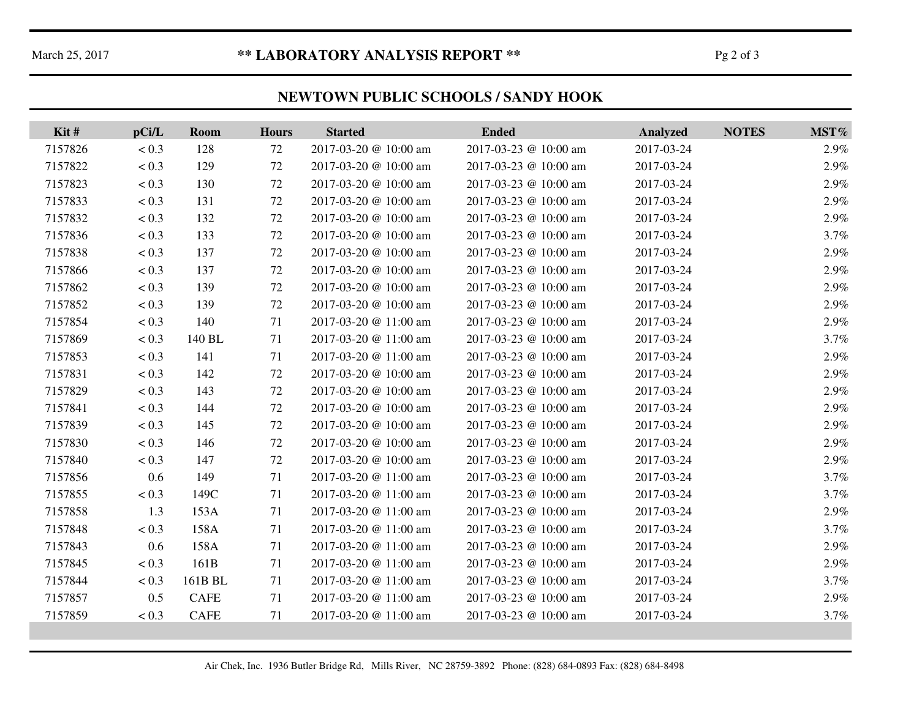# March 25, 2017 **\*\* LABORATORY ANALYSIS REPORT \*\*** Pg 2 of 3

### **NEWTOWN PUBLIC SCHOOLS / SANDY HOOK**

| Kit#    | pCi/L | Room        | <b>Hours</b> | <b>Started</b>        | <b>Ended</b>          | <b>Analyzed</b> | <b>NOTES</b> | MST% |
|---------|-------|-------------|--------------|-----------------------|-----------------------|-----------------|--------------|------|
| 7157826 | < 0.3 | 128         | 72           | 2017-03-20 @ 10:00 am | 2017-03-23 @ 10:00 am | 2017-03-24      |              | 2.9% |
| 7157822 | < 0.3 | 129         | 72           | 2017-03-20 @ 10:00 am | 2017-03-23 @ 10:00 am | 2017-03-24      |              | 2.9% |
| 7157823 | < 0.3 | 130         | $72\,$       | 2017-03-20 @ 10:00 am | 2017-03-23 @ 10:00 am | 2017-03-24      |              | 2.9% |
| 7157833 | < 0.3 | 131         | $72\,$       | 2017-03-20 @ 10:00 am | 2017-03-23 @ 10:00 am | 2017-03-24      |              | 2.9% |
| 7157832 | < 0.3 | 132         | 72           | 2017-03-20 @ 10:00 am | 2017-03-23 @ 10:00 am | 2017-03-24      |              | 2.9% |
| 7157836 | < 0.3 | 133         | $72\,$       | 2017-03-20 @ 10:00 am | 2017-03-23 @ 10:00 am | 2017-03-24      |              | 3.7% |
| 7157838 | < 0.3 | 137         | 72           | 2017-03-20 @ 10:00 am | 2017-03-23 @ 10:00 am | 2017-03-24      |              | 2.9% |
| 7157866 | < 0.3 | 137         | 72           | 2017-03-20 @ 10:00 am | 2017-03-23 @ 10:00 am | 2017-03-24      |              | 2.9% |
| 7157862 | < 0.3 | 139         | 72           | 2017-03-20 @ 10:00 am | 2017-03-23 @ 10:00 am | 2017-03-24      |              | 2.9% |
| 7157852 | < 0.3 | 139         | 72           | 2017-03-20 @ 10:00 am | 2017-03-23 @ 10:00 am | 2017-03-24      |              | 2.9% |
| 7157854 | < 0.3 | 140         | 71           | 2017-03-20 @ 11:00 am | 2017-03-23 @ 10:00 am | 2017-03-24      |              | 2.9% |
| 7157869 | < 0.3 | 140 BL      | 71           | 2017-03-20 @ 11:00 am | 2017-03-23 @ 10:00 am | 2017-03-24      |              | 3.7% |
| 7157853 | < 0.3 | 141         | 71           | 2017-03-20 @ 11:00 am | 2017-03-23 @ 10:00 am | 2017-03-24      |              | 2.9% |
| 7157831 | < 0.3 | 142         | 72           | 2017-03-20 @ 10:00 am | 2017-03-23 @ 10:00 am | 2017-03-24      |              | 2.9% |
| 7157829 | < 0.3 | 143         | 72           | 2017-03-20 @ 10:00 am | 2017-03-23 @ 10:00 am | 2017-03-24      |              | 2.9% |
| 7157841 | < 0.3 | 144         | 72           | 2017-03-20 @ 10:00 am | 2017-03-23 @ 10:00 am | 2017-03-24      |              | 2.9% |
| 7157839 | < 0.3 | 145         | 72           | 2017-03-20 @ 10:00 am | 2017-03-23 @ 10:00 am | 2017-03-24      |              | 2.9% |
| 7157830 | < 0.3 | 146         | 72           | 2017-03-20 @ 10:00 am | 2017-03-23 @ 10:00 am | 2017-03-24      |              | 2.9% |
| 7157840 | < 0.3 | 147         | 72           | 2017-03-20 @ 10:00 am | 2017-03-23 @ 10:00 am | 2017-03-24      |              | 2.9% |
| 7157856 | 0.6   | 149         | 71           | 2017-03-20 @ 11:00 am | 2017-03-23 @ 10:00 am | 2017-03-24      |              | 3.7% |
| 7157855 | < 0.3 | 149C        | 71           | 2017-03-20 @ 11:00 am | 2017-03-23 @ 10:00 am | 2017-03-24      |              | 3.7% |
| 7157858 | 1.3   | 153A        | 71           | 2017-03-20 @ 11:00 am | 2017-03-23 @ 10:00 am | 2017-03-24      |              | 2.9% |
| 7157848 | < 0.3 | 158A        | 71           | 2017-03-20 @ 11:00 am | 2017-03-23 @ 10:00 am | 2017-03-24      |              | 3.7% |
| 7157843 | 0.6   | 158A        | 71           | 2017-03-20 @ 11:00 am | 2017-03-23 @ 10:00 am | 2017-03-24      |              | 2.9% |
| 7157845 | < 0.3 | 161B        | 71           | 2017-03-20 @ 11:00 am | 2017-03-23 @ 10:00 am | 2017-03-24      |              | 2.9% |
| 7157844 | < 0.3 | 161B BL     | 71           | 2017-03-20 @ 11:00 am | 2017-03-23 @ 10:00 am | 2017-03-24      |              | 3.7% |
| 7157857 | 0.5   | <b>CAFE</b> | 71           | 2017-03-20 @ 11:00 am | 2017-03-23 @ 10:00 am | 2017-03-24      |              | 2.9% |
| 7157859 | < 0.3 | <b>CAFE</b> | 71           | 2017-03-20 @ 11:00 am | 2017-03-23 @ 10:00 am | 2017-03-24      |              | 3.7% |

Air Chek, Inc. 1936 Butler Bridge Rd, Mills River, NC 28759-3892 Phone: (828) 684-0893 Fax: (828) 684-8498